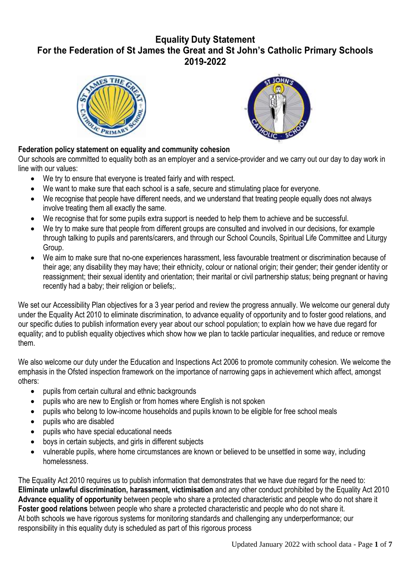# **Equality Duty Statement For the Federation of St James the Great and St John's Catholic Primary Schools 2019-2022**





# **Federation policy statement on equality and community cohesion**

Our schools are committed to equality both as an employer and a service-provider and we carry out our day to day work in line with our values:

- We try to ensure that everyone is treated fairly and with respect.
- We want to make sure that each school is a safe, secure and stimulating place for everyone.
- We recognise that people have different needs, and we understand that treating people equally does not always involve treating them all exactly the same.
- We recognise that for some pupils extra support is needed to help them to achieve and be successful.
- We try to make sure that people from different groups are consulted and involved in our decisions, for example through talking to pupils and parents/carers, and through our School Councils, Spiritual Life Committee and Liturgy Group.
- We aim to make sure that no-one experiences harassment, less favourable treatment or discrimination because of their age; any disability they may have; their ethnicity, colour or national origin; their gender; their gender identity or reassignment; their sexual identity and orientation; their marital or civil partnership status; being pregnant or having recently had a baby; their religion or beliefs;.

We set our Accessibility Plan objectives for a 3 year period and review the progress annually. We welcome our general duty under the Equality Act 2010 to eliminate discrimination, to advance equality of opportunity and to foster good relations, and our specific duties to publish information every year about our school population; to explain how we have due regard for equality; and to publish equality objectives which show how we plan to tackle particular inequalities, and reduce or remove them.

We also welcome our duty under the Education and Inspections Act 2006 to promote community cohesion. We welcome the emphasis in the Ofsted inspection framework on the importance of narrowing gaps in achievement which affect, amongst others:

- pupils from certain cultural and ethnic backgrounds
- pupils who are new to English or from homes where English is not spoken
- pupils who belong to low-income households and pupils known to be eligible for free school meals
- pupils who are disabled
- pupils who have special educational needs
- boys in certain subjects, and girls in different subjects
- vulnerable pupils, where home circumstances are known or believed to be unsettled in some way, including homelessness.

The Equality Act 2010 requires us to publish information that demonstrates that we have due regard for the need to: **Eliminate unlawful discrimination, harassment, victimisation** and any other conduct prohibited by the Equality Act 2010 **Advance equality of opportunity** between people who share a protected characteristic and people who do not share it **Foster good relations** between people who share a protected characteristic and people who do not share it. At both schools we have rigorous systems for monitoring standards and challenging any underperformance; our responsibility in this equality duty is scheduled as part of this rigorous process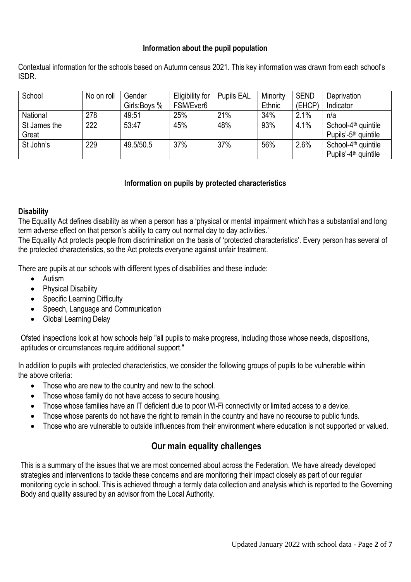## **Information about the pupil population**

Contextual information for the schools based on Autumn census 2021. This key information was drawn from each school's ISDR.

| School       | No on roll | Gender       | Eligibility for | <b>Pupils EAL</b> | Minority | <b>SEND</b> | Deprivation                      |
|--------------|------------|--------------|-----------------|-------------------|----------|-------------|----------------------------------|
|              |            | Girls:Boys % | FSM/Ever6       |                   | Ethnic   | (EHCP)      | Indicator                        |
| National     | 278        | 49:51        | 25%             | 21%               | 34%      | 2.1%        | n/a                              |
| St James the | 222        | 53:47        | 45%             | 48%               | 93%      | 4.1%        | School-4 <sup>th</sup> quintile  |
| Great        |            |              |                 |                   |          |             | Pupils'-5 <sup>th</sup> quintile |
| St John's    | 229        | 49.5/50.5    | 37%             | 37%               | 56%      | 2.6%        | School-4 <sup>th</sup> quintile  |
|              |            |              |                 |                   |          |             | Pupils'-4 <sup>th</sup> quintile |

# **Information on pupils by protected characteristics**

#### **Disability**

The Equality Act defines disability as when a person has a 'physical or mental impairment which has a substantial and long term adverse effect on that person's ability to carry out normal day to day activities.'

The Equality Act protects people from discrimination on the basis of 'protected characteristics'. Every person has several of the protected characteristics, so the Act protects everyone against unfair treatment.

There are pupils at our schools with different types of disabilities and these include:

- Autism
- Physical Disability
- Specific Learning Difficulty
- Speech, Language and Communication
- Global Learning Delay

Ofsted inspections look at how schools help "all pupils to make progress, including those whose needs, dispositions, aptitudes or circumstances require additional support."

In addition to pupils with protected characteristics, we consider the following groups of pupils to be vulnerable within the above criteria:

- Those who are new to the country and new to the school.
- Those whose family do not have access to secure housing.
- Those whose families have an IT deficient due to poor Wi-Fi connectivity or limited access to a device.
- Those whose parents do not have the right to remain in the country and have no recourse to public funds.
- Those who are vulnerable to outside influences from their environment where education is not supported or valued.

# **Our main equality challenges**

This is a summary of the issues that we are most concerned about across the Federation. We have already developed strategies and interventions to tackle these concerns and are monitoring their impact closely as part of our regular monitoring cycle in school. This is achieved through a termly data collection and analysis which is reported to the Governing Body and quality assured by an advisor from the Local Authority.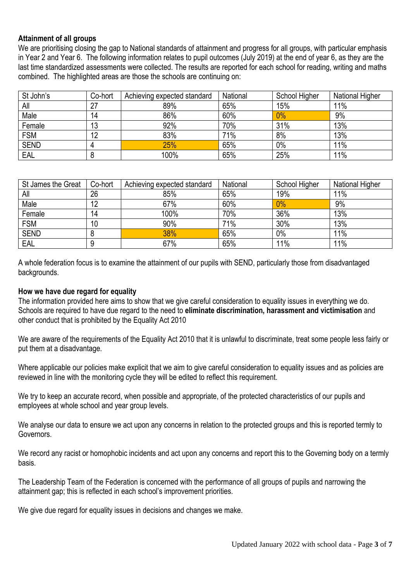## **Attainment of all groups**

We are prioritising closing the gap to National standards of attainment and progress for all groups, with particular emphasis in Year 2 and Year 6. The following information relates to pupil outcomes (July 2019) at the end of year 6, as they are the last time standardized assessments were collected. The results are reported for each school for reading, writing and maths combined. The highlighted areas are those the schools are continuing on:

| St John's   | Co-hort | Achieving expected standard | National | School Higher | <b>National Higher</b> |
|-------------|---------|-----------------------------|----------|---------------|------------------------|
| All         |         | 89%                         | 65%      | 15%           | 11%                    |
| Male        | 14      | 86%                         | 60%      | 0%            | 9%                     |
| Female      | 13      | 92%                         | 70%      | 31%           | 13%                    |
| <b>FSM</b>  | 12      | 83%                         | 71%      | 8%            | 13%                    |
| <b>SEND</b> | 4       | 25%                         | 65%      | 0%            | 11%                    |
| EAL         |         | 100%                        | 65%      | 25%           | 11%                    |

| St James the Great | Co-hort | Achieving expected standard | National | <b>School Higher</b> | <b>National Higher</b> |
|--------------------|---------|-----------------------------|----------|----------------------|------------------------|
| All                | 26      | 85%                         | 65%      | 19%                  | 11%                    |
| Male               | 12      | 67%                         | 60%      | 0%                   | 9%                     |
| Female             | 14      | 100%                        | 70%      | 36%                  | 13%                    |
| <b>FSM</b>         | 10      | 90%                         | 71%      | 30%                  | 13%                    |
| <b>SEND</b>        | o       | 38%                         | 65%      | 0%                   | 11%                    |
| EAL                | 9       | 67%                         | 65%      | 11%                  | 11%                    |

A whole federation focus is to examine the attainment of our pupils with SEND, particularly those from disadvantaged backgrounds.

#### **How we have due regard for equality**

The information provided here aims to show that we give careful consideration to equality issues in everything we do. Schools are required to have due regard to the need to **eliminate discrimination, harassment and victimisation** and other conduct that is prohibited by the Equality Act 2010

We are aware of the requirements of the Equality Act 2010 that it is unlawful to discriminate, treat some people less fairly or put them at a disadvantage.

Where applicable our policies make explicit that we aim to give careful consideration to equality issues and as policies are reviewed in line with the monitoring cycle they will be edited to reflect this requirement.

We try to keep an accurate record, when possible and appropriate, of the protected characteristics of our pupils and employees at whole school and year group levels.

We analyse our data to ensure we act upon any concerns in relation to the protected groups and this is reported termly to Governors.

We record any racist or homophobic incidents and act upon any concerns and report this to the Governing body on a termly basis.

The Leadership Team of the Federation is concerned with the performance of all groups of pupils and narrowing the attainment gap; this is reflected in each school's improvement priorities.

We give due regard for equality issues in decisions and changes we make.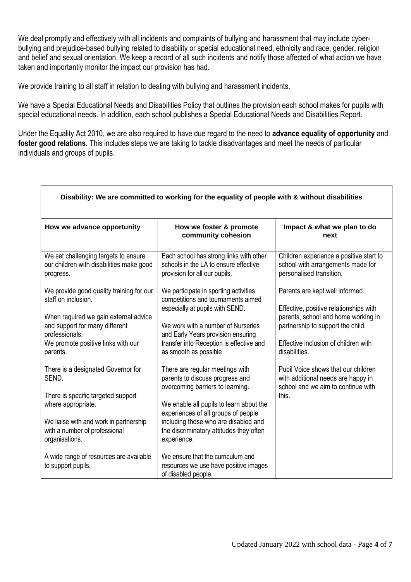We deal promptly and effectively with all incidents and complaints of bullying and harassment that may include cyberbullying and prejudice-based bullying related to disability or special educational need, ethnicity and race, gender, religion and belief and sexual orientation. We keep a record of all such incidents and notify those affected of what action we have taken and importantly monitor the impact our provision has had.

We provide training to all staff in relation to dealing with bullying and harassment incidents.

Г

We have a Special Educational Needs and Disabilities Policy that outlines the provision each school makes for pupils with special educational needs. In addition, each school publishes a Special Educational Needs and Disabilities Report.

Under the Equality Act 2010, we are also required to have due regard to the need to **advance equality of opportunity** and **foster good relations.** This includes steps we are taking to tackle disadvantages and meet the needs of particular individuals and groups of pupils.

|                                                                                                                                                                                                                                                                                                     | Disability: We are committed to working for the equality of people with & without disabilities                                                                                                                                                                                                                                                                            |                                                                                                                                                                                                                                                                                                                                            |
|-----------------------------------------------------------------------------------------------------------------------------------------------------------------------------------------------------------------------------------------------------------------------------------------------------|---------------------------------------------------------------------------------------------------------------------------------------------------------------------------------------------------------------------------------------------------------------------------------------------------------------------------------------------------------------------------|--------------------------------------------------------------------------------------------------------------------------------------------------------------------------------------------------------------------------------------------------------------------------------------------------------------------------------------------|
| How we advance opportunity                                                                                                                                                                                                                                                                          | How we foster & promote<br>community cohesion                                                                                                                                                                                                                                                                                                                             | Impact & what we plan to do<br>next                                                                                                                                                                                                                                                                                                        |
| We set challenging targets to ensure<br>our children with disabilities make good<br>progress.                                                                                                                                                                                                       | Each school has strong links with other<br>schools in the LA to ensure effective<br>provision for all our pupils.                                                                                                                                                                                                                                                         | Children experience a positive start to<br>school with arrangements made for<br>personalised transition.                                                                                                                                                                                                                                   |
| We provide good quality training for our<br>staff on inclusion.<br>When required we gain external advice<br>and support for many different<br>professionals.<br>We promote positive links with our<br>parents.<br>There is a designated Governor for<br>SEND.<br>There is specific targeted support | We participate in sporting activities<br>competitions and tournaments aimed<br>especially at pupils with SEND.<br>We work with a number of Nurseries<br>and Early Years provision ensuring<br>transfer into Reception is effective and<br>as smooth as possible<br>There are regular meetings with<br>parents to discuss progress and<br>overcoming barriers to learning. | Parents are kept well informed.<br>Effective, positive relationships with<br>parents, school and home working in<br>partnership to support the child.<br>Effective inclusion of children with<br>disabilities.<br>Pupil Voice shows that our children<br>with additional needs are happy in<br>school and we aim to continue with<br>this. |
| where appropriate.<br>We liaise with and work in partnership<br>with a number of professional<br>organisations.<br>A wide range of resources are available<br>to support pupils.                                                                                                                    | We enable all pupils to learn about the<br>experiences of all groups of people<br>including those who are disabled and<br>the discriminatory attitudes they often<br>experience.<br>We ensure that the curriculum and<br>resources we use have positive images<br>of disabled people.                                                                                     |                                                                                                                                                                                                                                                                                                                                            |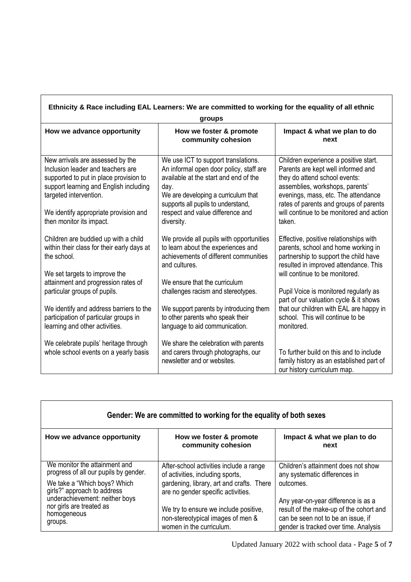|                                                                                                                                                                                                                                                          | groups                                                                                                                                                                                                                                                         |                                                                                                                                                                                                                                                                                        |
|----------------------------------------------------------------------------------------------------------------------------------------------------------------------------------------------------------------------------------------------------------|----------------------------------------------------------------------------------------------------------------------------------------------------------------------------------------------------------------------------------------------------------------|----------------------------------------------------------------------------------------------------------------------------------------------------------------------------------------------------------------------------------------------------------------------------------------|
| How we advance opportunity                                                                                                                                                                                                                               | How we foster & promote<br>community cohesion                                                                                                                                                                                                                  | Impact & what we plan to do<br>next                                                                                                                                                                                                                                                    |
| New arrivals are assessed by the<br>Inclusion leader and teachers are<br>supported to put in place provision to<br>support learning and English including<br>targeted intervention.<br>We identify appropriate provision and<br>then monitor its impact. | We use ICT to support translations.<br>An informal open door policy, staff are<br>available at the start and end of the<br>day.<br>We are developing a curriculum that<br>supports all pupils to understand,<br>respect and value difference and<br>diversity. | Children experience a positive start.<br>Parents are kept well informed and<br>they do attend school events:<br>assemblies, workshops, parents'<br>evenings, mass, etc. The attendance<br>rates of parents and groups of parents<br>will continue to be monitored and action<br>taken. |
| Children are buddied up with a child<br>within their class for their early days at<br>the school.<br>We set targets to improve the                                                                                                                       | We provide all pupils with opportunities<br>to learn about the experiences and<br>achievements of different communities<br>and cultures.                                                                                                                       | Effective, positive relationships with<br>parents, school and home working in<br>partnership to support the child have<br>resulted in improved attendance. This<br>will continue to be monitored.                                                                                      |
| attainment and progression rates of<br>particular groups of pupils.<br>We identify and address barriers to the<br>participation of particular groups in                                                                                                  | We ensure that the curriculum<br>challenges racism and stereotypes.<br>We support parents by introducing them<br>to other parents who speak their                                                                                                              | Pupil Voice is monitored regularly as<br>part of our valuation cycle & it shows<br>that our children with EAL are happy in<br>school. This will continue to be                                                                                                                         |
| learning and other activities.<br>We celebrate pupils' heritage through<br>whole school events on a yearly basis                                                                                                                                         | language to aid communication.<br>We share the celebration with parents<br>and carers through photographs, our<br>newsletter and or websites.                                                                                                                  | monitored.<br>To further build on this and to include<br>family history as an established part of<br>our history curriculum map.                                                                                                                                                       |

| Gender: We are committed to working for the equality of both sexes                                                                                                                                                            |                                                                                                                                                                                                                                                                          |                                                                                                                                                                                                                                                    |  |  |  |
|-------------------------------------------------------------------------------------------------------------------------------------------------------------------------------------------------------------------------------|--------------------------------------------------------------------------------------------------------------------------------------------------------------------------------------------------------------------------------------------------------------------------|----------------------------------------------------------------------------------------------------------------------------------------------------------------------------------------------------------------------------------------------------|--|--|--|
| How we advance opportunity                                                                                                                                                                                                    | How we foster & promote<br>community cohesion                                                                                                                                                                                                                            | Impact & what we plan to do<br>next                                                                                                                                                                                                                |  |  |  |
| We monitor the attainment and<br>progress of all our pupils by gender.<br>We take a "Which boys? Which<br>girls?" approach to address<br>underachievement: neither boys<br>nor girls are treated as<br>homogeneous<br>groups. | After-school activities include a range<br>of activities, including sports,<br>gardening, library, art and crafts. There<br>are no gender specific activities.<br>We try to ensure we include positive,<br>non-stereotypical images of men &<br>women in the curriculum. | Children's attainment does not show<br>any systematic differences in<br>outcomes.<br>Any year-on-year difference is as a<br>result of the make-up of the cohort and<br>can be seen not to be an issue, if<br>gender is tracked over time. Analysis |  |  |  |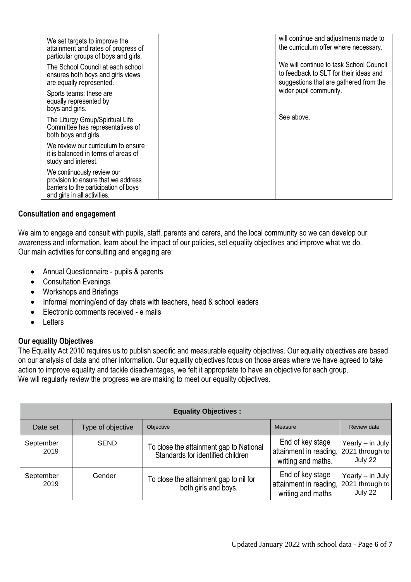| We set targets to improve the<br>attainment and rates of progress of<br>particular groups of boys and girls.                               | will continue and adjustments made to<br>the curriculum offer where necessary.                                              |
|--------------------------------------------------------------------------------------------------------------------------------------------|-----------------------------------------------------------------------------------------------------------------------------|
| The School Council at each school<br>ensures both boys and girls views<br>are equally represented.                                         | We will continue to task School Council<br>to feedback to SLT for their ideas and<br>suggestions that are gathered from the |
| Sports teams: these are<br>equally represented by<br>boys and girls.                                                                       | wider pupil community.                                                                                                      |
| The Liturgy Group/Spiritual Life<br>Committee has representatives of<br>both boys and girls.                                               | See above.                                                                                                                  |
| We review our curriculum to ensure<br>it is balanced in terms of areas of<br>study and interest.                                           |                                                                                                                             |
| We continuously review our<br>provision to ensure that we address<br>barriers to the participation of boys<br>and girls in all activities. |                                                                                                                             |

## **Consultation and engagement**

We aim to engage and consult with pupils, staff, parents and carers, and the local community so we can develop our awareness and information, learn about the impact of our policies, set equality objectives and improve what we do. Our main activities for consulting and engaging are:

- Annual Questionnaire pupils & parents
- Consultation Evenings
- Workshops and Briefings
- Informal morning/end of day chats with teachers, head & school leaders
- Electronic comments received e mails
- Letters

## **Our equality Objectives**

The Equality Act 2010 requires us to publish specific and measurable equality objectives. Our equality objectives are based on our analysis of data and other information. Our equality objectives focus on those areas where we have agreed to take action to improve equality and tackle disadvantages, we felt it appropriate to have an objective for each group. We will regularly review the progress we are making to meet our equality objectives.

| <b>Equality Objectives:</b> |                   |                                                                              |                                                                  |                                                  |  |
|-----------------------------|-------------------|------------------------------------------------------------------------------|------------------------------------------------------------------|--------------------------------------------------|--|
| Date set                    | Type of objective | Objective                                                                    | Measure                                                          | Review date                                      |  |
| September<br>2019           | <b>SEND</b>       | To close the attainment gap to National<br>Standards for identified children | End of key stage<br>attainment in reading,<br>writing and maths. | Yearly - in July<br>2021 through to<br>July 22   |  |
| September<br>2019           | Gender            | To close the attainment gap to nil for<br>both girls and boys.               | End of key stage<br>attainment in reading,<br>writing and maths  | Yearly $-$ in July<br>2021 through to<br>July 22 |  |